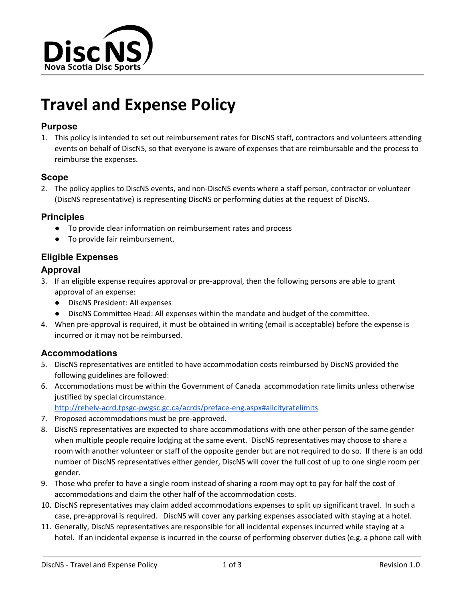

# **Travel and Expense Policy**

### **Purpose**

1. This policy is intended to set out reimbursement rates for DiscNS staff, contractors and volunteers attending events on behalf of DiscNS, so that everyone is aware of expenses that are reimbursable and the process to reimburse the expenses.

#### **Scope**

2. The policy applies to DiscNS events, and non-DiscNS events where a staff person, contractor or volunteer (DiscNS representative) is representing DiscNS or performing duties at the request of DiscNS.

#### **Principles**

- To provide clear information on reimbursement rates and process
- To provide fair reimbursement.

## **Eligible Expenses**

#### **Approval**

- 3. If an eligible expense requires approval or pre-approval, then the following persons are able to grant approval of an expense:
	- DiscNS President: All expenses
	- DiscNS Committee Head: All expenses within the mandate and budget of the committee.
- 4. When pre-approval is required, it must be obtained in writing (email is acceptable) before the expense is incurred or it may not be reimbursed.

#### **Accommodations**

- 5. DiscNS representatives are entitled to have accommodation costs reimbursed by DiscNS provided the following guidelines are followed:
- 6. Accommodations must be within the Government of Canada accommodation rate limits unless otherwise justified by special circumstance.

http://rehelv-acrd.tpsgc-pwgsc.gc.ca/acrds/preface-eng.aspx#allcityratelimits

- 7. Proposed accommodations must be pre-approved.
- 8. DiscNS representatives are expected to share accommodations with one other person of the same gender when multiple people require lodging at the same event. DiscNS representatives may choose to share a room with another volunteer or staff of the opposite gender but are not required to do so. If there is an odd number of DiscNS representatives either gender, DiscNS will cover the full cost of up to one single room per gender.
- 9. Those who prefer to have a single room instead of sharing a room may opt to pay for half the cost of accommodations and claim the other half of the accommodation costs.
- 10. DiscNS representatives may claim added accommodations expenses to split up significant travel. In such a case, pre-approval is required. DiscNS will cover any parking expenses associated with staying at a hotel.
- 11. Generally, DiscNS representatives are responsible for all incidental expenses incurred while staying at a hotel. If an incidental expense is incurred in the course of performing observer duties (e.g. a phone call with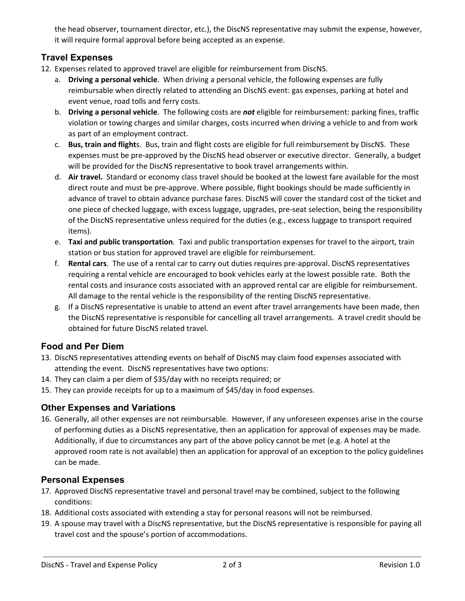the head observer, tournament director, etc.), the DiscNS representative may submit the expense, however, it will require formal approval before being accepted as an expense.

## **Travel Expenses**

- 12. Expenses related to approved travel are eligible for reimbursement from DiscNS.
	- a. **Driving a personal vehicle**. When driving a personal vehicle, the following expenses are fully reimbursable when directly related to attending an DiscNS event: gas expenses, parking at hotel and event venue, road tolls and ferry costs.
	- b. **Driving a personal vehicle**. The following costs are *not* eligible for reimbursement: parking fines, traffic violation or towing charges and similar charges, costs incurred when driving a vehicle to and from work as part of an employment contract.
	- c. **Bus, train and flight**s. Bus, train and flight costs are eligible for full reimbursement by DiscNS. These expenses must be pre-approved by the DiscNS head observer or executive director. Generally, a budget will be provided for the DiscNS representative to book travel arrangements within.
	- d. **Air travel.** Standard or economy class travel should be booked at the lowest fare available for the most direct route and must be pre-approve. Where possible, flight bookings should be made sufficiently in advance of travel to obtain advance purchase fares. DiscNS will cover the standard cost of the ticket and one piece of checked luggage, with excess luggage, upgrades, pre-seat selection, being the responsibility of the DiscNS representative unless required for the duties (e.g., excess luggage to transport required items).
	- e. **Taxi and public transportation**. Taxi and public transportation expenses for travel to the airport, train station or bus station for approved travel are eligible for reimbursement.
	- f. **Rental cars**. The use of a rental car to carry out duties requires pre-approval. DiscNS representatives requiring a rental vehicle are encouraged to book vehicles early at the lowest possible rate. Both the rental costs and insurance costs associated with an approved rental car are eligible for reimbursement. All damage to the rental vehicle is the responsibility of the renting DiscNS representative.
	- g. If a DiscNS representative is unable to attend an event after travel arrangements have been made, then the DiscNS representative is responsible for cancelling all travel arrangements. A travel credit should be obtained for future DiscNS related travel.

## **Food and Per Diem**

- 13. DiscNS representatives attending events on behalf of DiscNS may claim food expenses associated with attending the event. DiscNS representatives have two options:
- 14. They can claim a per diem of \$35/day with no receipts required; or
- 15. They can provide receipts for up to a maximum of \$45/day in food expenses.

## **Other Expenses and Variations**

16. Generally, all other expenses are not reimbursable. However, if any unforeseen expenses arise in the course of performing duties as a DiscNS representative, then an application for approval of expenses may be made. Additionally, if due to circumstances any part of the above policy cannot be met (e.g. A hotel at the approved room rate is not available) then an application for approval of an exception to the policy guidelines can be made.

## **Personal Expenses**

- 17. Approved DiscNS representative travel and personal travel may be combined, subject to the following conditions:
- 18. Additional costs associated with extending a stay for personal reasons will not be reimbursed.
- 19. A spouse may travel with a DiscNS representative, but the DiscNS representative is responsible for paying all travel cost and the spouse's portion of accommodations.